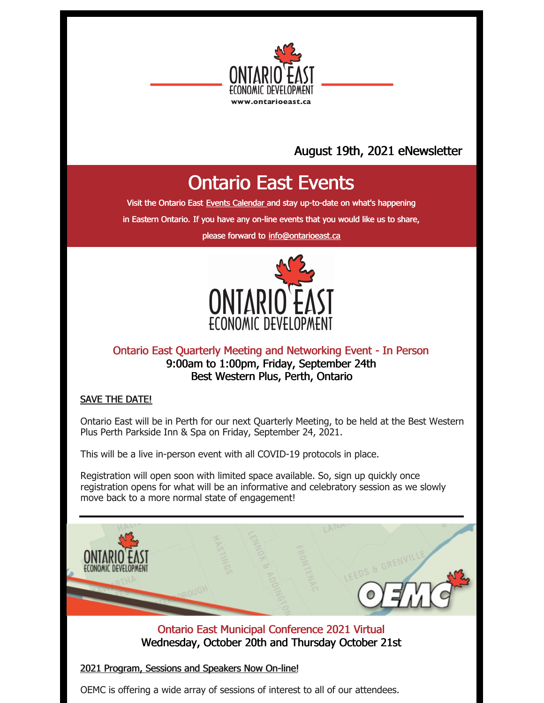

### August 19th, 2021 eNewsletter

## Ontario East Events

Visit the Ontario East Events [Calendar](https://ontarioeast.ca/events) and stay up-to-date on what's happening

in Eastern Ontario. If you have any on-line events that you would like us to share,

please forward to [info@ontarioeast.ca](mailto:info@ontarioeast.ca)



#### Ontario East Quarterly Meeting and Networking Event - In Person 9:00am to 1:00pm, Friday, September 24th Best Western Plus, Perth, Ontario

#### SAVE THE DATE!

Ontario East will be in Perth for our next Quarterly Meeting, to be held at the Best Western Plus Perth Parkside Inn & Spa on Friday, September 24, 2021.

This will be a live in-person event with all COVID-19 protocols in place.

Registration will open soon with limited space available. So, sign up quickly once registration opens for what will be an informative and celebratory session as we slowly move back to a more normal state of engagement!



Ontario East Municipal Conference 2021 Virtual Wednesday, October 20th and Thursday October 21st

2021 Program, Sessions and Speakers Now On-line!

OEMC is offering a wide array of sessions of interest to all of our attendees.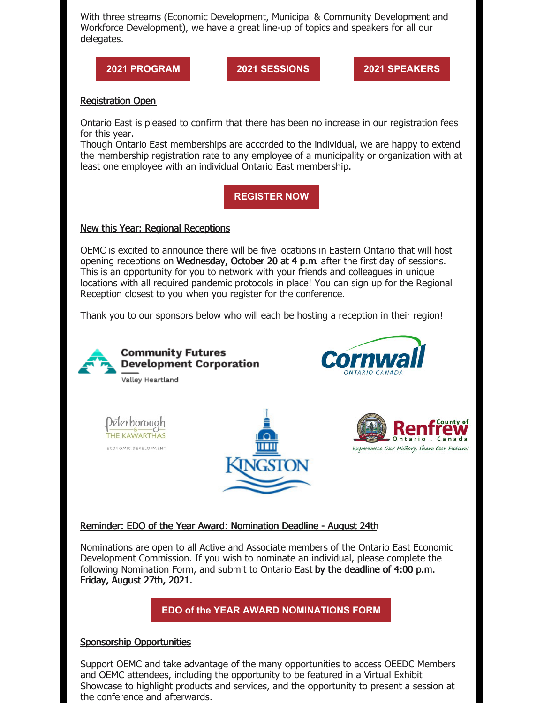With three streams (Economic Development, Municipal & Community Development and Workforce Development), we have a great line-up of topics and speakers for all our delegates.

**2021 [PROGRAM](https://oemc.ca/2021-program/) 2021 [SESSIONS](https://oemc.ca/session-descriptions-2021/) 2021 [SPEAKERS](https://oemc.ca/2021-speakers/)**

#### Registration Open

Ontario East is pleased to confirm that there has been no increase in our registration fees for this year.

Though Ontario East memberships are accorded to the individual, we are happy to extend the membership registration rate to any employee of a municipality or organization with at least one employee with an individual Ontario East membership.

**[REGISTER](https://oemc.ca/2021-registration/) NOW**

#### New this Year: Regional Receptions

OEMC is excited to announce there will be five locations in Eastern Ontario that will host opening receptions on Wednesday, October 20 at 4 p.m. after the first day of sessions. This is an opportunity for you to network with your friends and colleagues in unique locations with all required pandemic protocols in place! You can sign up for the Regional Reception closest to you when you register for the conference.

Thank you to our sponsors below who will each be hosting a reception in their region!



#### Reminder: EDO of the Year Award: Nomination Deadline - August 24th

Nominations are open to all Active and Associate members of the Ontario East Economic Development Commission. If you wish to nominate an individual, please complete the following Nomination Form, and submit to Ontario East by the deadline of 4:00 p.m. Friday, August 27th, 2021.

**EDO of the YEAR AWARD [NOMINATIONS](https://files.constantcontact.com/35c7e81d001/18802b7b-5c81-47a5-86f7-2d622c3bb928.docx?rdr=true) FORM**

#### Sponsorship Opportunities

Support OEMC and take advantage of the many opportunities to access OEEDC Members and OEMC attendees, including the opportunity to be featured in a Virtual Exhibit Showcase to highlight products and services, and the opportunity to present a session at the conference and afterwards.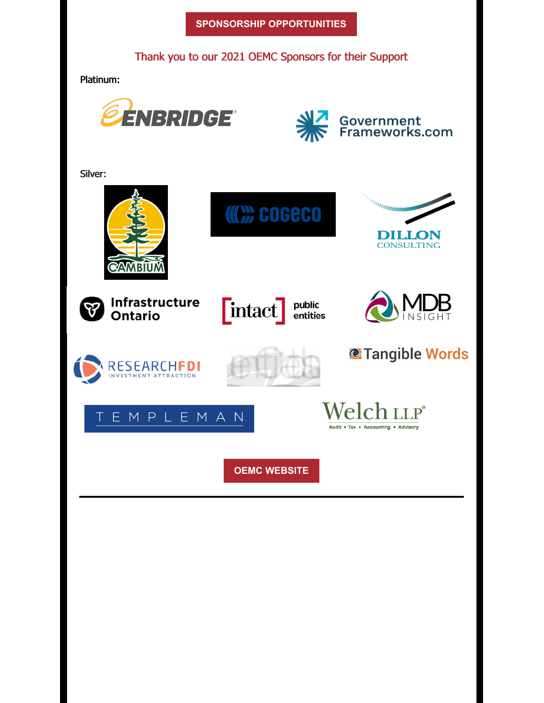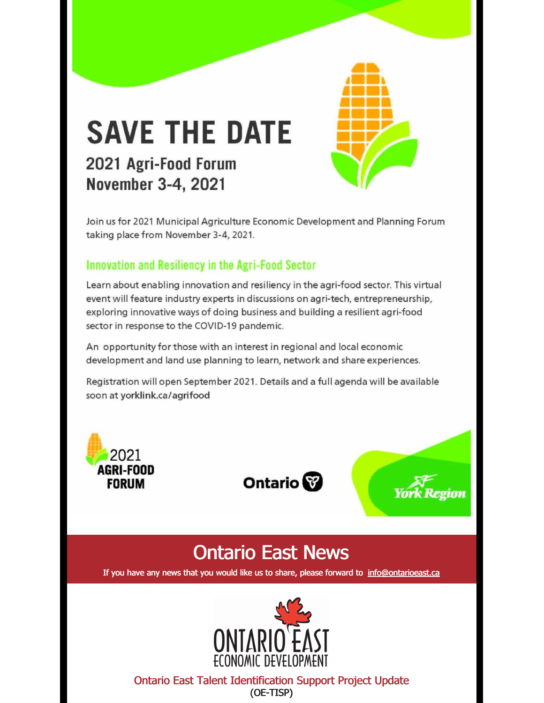# **SAVE THE DATE** 2021 Agri-Food Forum **November 3-4, 2021**



Join us for 2021 Municipal Agriculture Economic Development and Planning Forum taking place from November 3-4, 2021.

#### Innovation and Resiliency in the Agri-Food Sector

Learn about enabling innovation and resiliency in the agri-food sector. This virtual event will feature industry experts in discussions on agri-tech, entrepreneurship, exploring innovative ways of doing business and building a resilient agri-food sector in response to the COVID-19 pandemic.

An opportunity for those with an interest in regional and local economic development and land use planning to learn, network and share experiences.

Registration will open September 2021. Details and a full agenda will be available soon at yorklink.ca/agrifood







### Ontario East News

If you have any news that you would like us to share, please forward to [info@ontarioeast.ca](mailto:info@ontarioeast.ca)



Ontario East Talent Identification Support Project Update (OE-TISP)